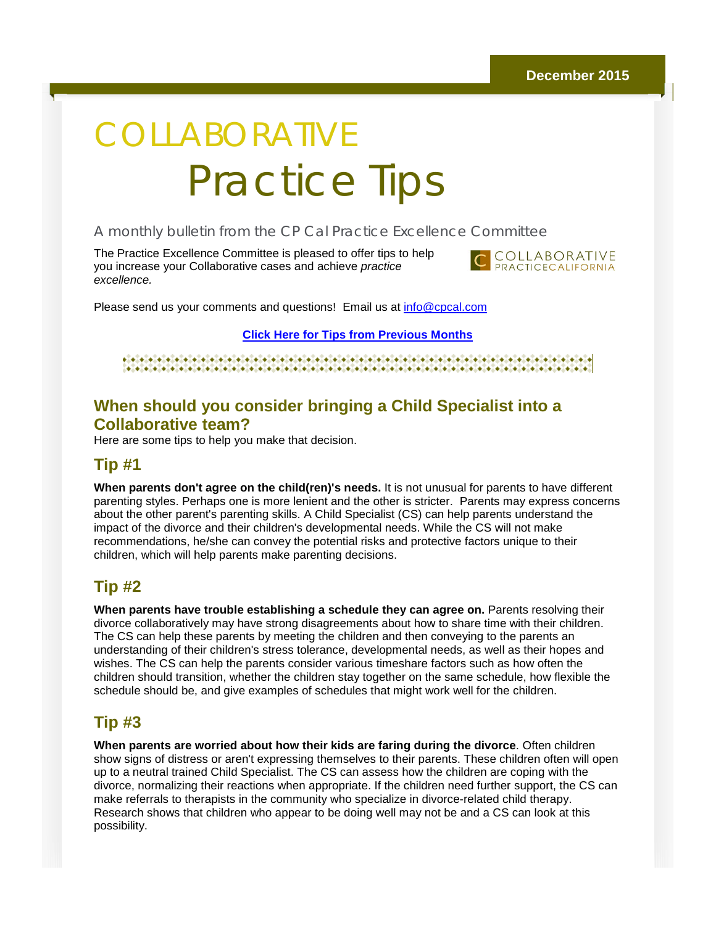# COLLABORATIVE Practice Tips

#### A monthly bulletin from the CP Cal Practice Excellence Committee

The Practice Excellence Committee is pleased to offer tips to help you increase your Collaborative cases and achieve *practice excellence.*



Please send us your comments and questions! Email us at [info@cpcal.com](mailto:info@cpcal.com)

**[Click Here for Tips from Previous Months](http://r20.rs6.net/tn.jsp?f=001u6AdSnJ4QZynZkWe5aFWlrDmt1nQkNTR09v6d8ecNMTzi8h3RC5JvAY4gU_Oud_CQjQT9Jy4p7YLeeAdQk1R8z7rILJcEM5W3zXgYtZIjCSWPDkGm9xc8yvwLYe2zV8wW9K2oodcVViyjUb52ZtdMXsDcsg6qgrmBcOhdgMl4Ta7dyRhGv-z9Rs3XKg0PS7Lc-ZNPXFM9yRj3pfzV5XJL7-pGZSMsmF8XgWUXxlFAqEnH_PgA3-TSg==&c=&ch=)**

#### 

#### **When should you consider bringing a Child Specialist into a Collaborative team?**

Here are some tips to help you make that decision.

#### **Tip #1**

**When parents don't agree on the child(ren)'s needs.** It is not unusual for parents to have different parenting styles. Perhaps one is more lenient and the other is stricter. Parents may express concerns about the other parent's parenting skills. A Child Specialist (CS) can help parents understand the impact of the divorce and their children's developmental needs. While the CS will not make recommendations, he/she can convey the potential risks and protective factors unique to their children, which will help parents make parenting decisions.

#### **Tip #2**

**When parents have trouble establishing a schedule they can agree on.** Parents resolving their divorce collaboratively may have strong disagreements about how to share time with their children. The CS can help these parents by meeting the children and then conveying to the parents an understanding of their children's stress tolerance, developmental needs, as well as their hopes and wishes. The CS can help the parents consider various timeshare factors such as how often the children should transition, whether the children stay together on the same schedule, how flexible the schedule should be, and give examples of schedules that might work well for the children.

#### **Tip #3**

**When parents are worried about how their kids are faring during the divorce**. Often children show signs of distress or aren't expressing themselves to their parents. These children often will open up to a neutral trained Child Specialist. The CS can assess how the children are coping with the divorce, normalizing their reactions when appropriate. If the children need further support, the CS can make referrals to therapists in the community who specialize in divorce-related child therapy. Research shows that children who appear to be doing well may not be and a CS can look at this possibility.